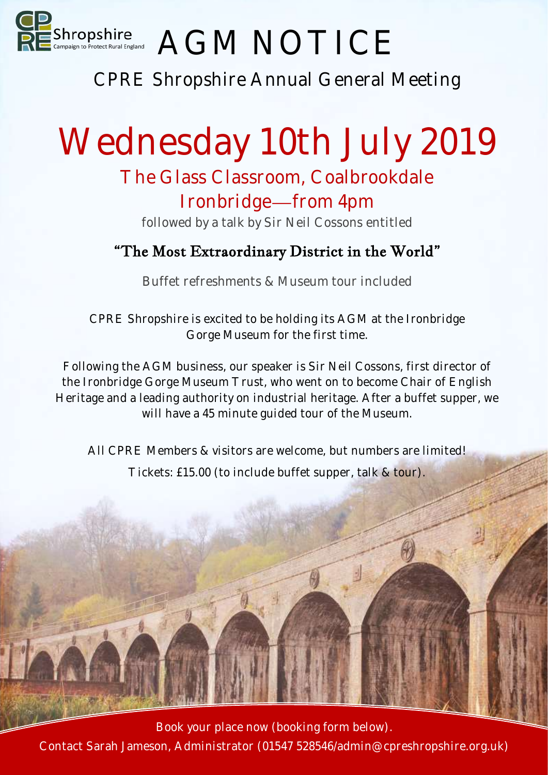

## AGM NOTICE

CPRE Shropshire Annual General Meeting

# Wednesday 10th July 2019

### The Glass Classroom, Coalbrookdale

Ironbridge—from 4pm followed by a talk by Sir Neil Cossons entitled

#### "The Most Extraordinary District in the World"

Buffet refreshments & Museum tour included

CPRE Shropshire is excited to be holding its AGM at the Ironbridge Gorge Museum for the first time.

Following the AGM business, our speaker is Sir Neil Cossons, first director of the Ironbridge Gorge Museum Trust, who went on to become Chair of English Heritage and a leading authority on industrial heritage. After a buffet supper, we will have a 45 minute guided tour of the Museum.

All CPRE Members & visitors are welcome, but numbers are limited! Tickets: £15.00 (to include buffet supper, talk & tour).

Book your place now (booking form below). Contact Sarah Jameson, Administrator (01547 528546/admin@cpreshropshire.org.uk)